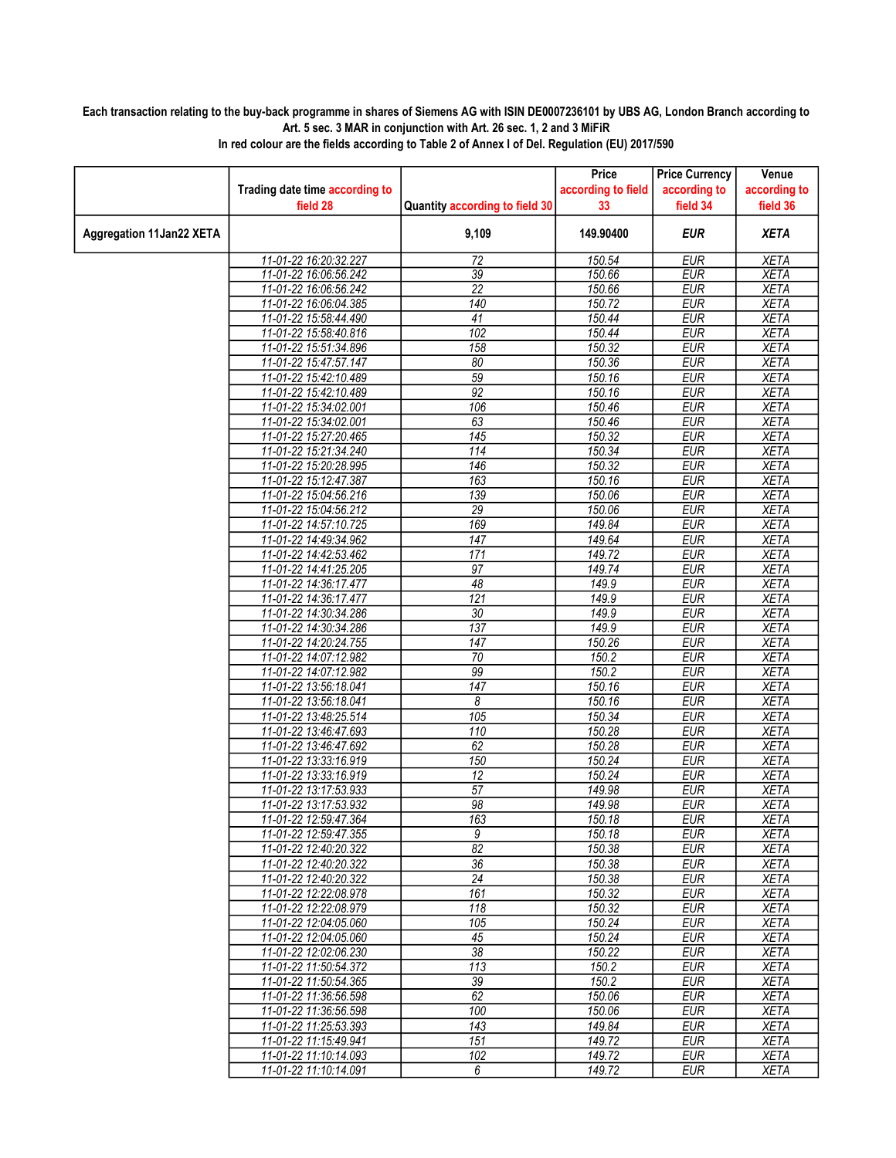## Each transaction relating to the buy-back programme in shares of Siemens AG with ISIN DE0007236101 by UBS AG, London Branch according to Art. 5 sec. 3 MAR in conjunction with Art. 26 sec. 1, 2 and 3 MiFiR

|                                 |                                                |                                | Price              | <b>Price Currency</b>    | Venue                      |
|---------------------------------|------------------------------------------------|--------------------------------|--------------------|--------------------------|----------------------------|
|                                 | Trading date time according to                 |                                | according to field | according to             | according to               |
|                                 | field 28                                       | Quantity according to field 30 | 33                 | field 34                 | field 36                   |
| <b>Aggregation 11Jan22 XETA</b> |                                                | 9,109                          | 149.90400          | <b>EUR</b>               | <b>XETA</b>                |
|                                 | 11-01-22 16:20:32.227                          | 72                             | 150.54             | <b>EUR</b>               | <b>XETA</b>                |
|                                 | 11-01-22 16:06:56.242                          | 39                             | 150.66             | <b>EUR</b>               | <b>XETA</b>                |
|                                 | 11-01-22 16:06:56.242                          | $\overline{22}$                | 150.66             | <b>EUR</b>               | <b>XETA</b>                |
|                                 | 11-01-22 16:06:04.385                          | 140                            | 150.72             | <b>EUR</b>               | <b>XETA</b>                |
|                                 | 11-01-22 15:58:44.490                          | 41                             | 150.44             | <b>EUR</b>               | <b>XETA</b>                |
|                                 | 11-01-22 15:58:40.816                          | 102                            | 150.44             | <b>EUR</b>               | <b>XETA</b>                |
|                                 | 11-01-22 15:51:34.896                          | 158                            | 150.32             | <b>EUR</b>               | <b>XETA</b>                |
|                                 | 11-01-22 15:47:57.147                          | 80                             | 150.36             | <b>EUR</b>               | <b>XETA</b>                |
|                                 | 11-01-22 15:42:10.489                          | 59                             | 150.16             | <b>EUR</b>               | <b>XETA</b>                |
|                                 | 11-01-22 15:42:10.489                          | 92                             | 150.16             | <b>EUR</b>               | <b>XETA</b>                |
|                                 | 11-01-22 15:34:02.001                          | 106                            | 150.46             | <b>EUR</b>               | <b>XETA</b>                |
|                                 | 11-01-22 15:34:02.001                          | 63                             | 150.46             | <b>EUR</b>               | <b>XETA</b>                |
|                                 | 11-01-22 15:27:20.465                          | 145<br>$\overline{114}$        | 150.32             | <b>EUR</b><br><b>EUR</b> | <b>XETA</b><br><b>XETA</b> |
|                                 | 11-01-22 15:21:34.240<br>11-01-22 15:20:28.995 | $\overline{146}$               | 150.34<br>150.32   | <b>EUR</b>               | <b>XETA</b>                |
|                                 | 11-01-22 15:12:47.387                          | 163                            | 150.16             | <b>EUR</b>               | <b>XETA</b>                |
|                                 | 11-01-22 15:04:56.216                          | 139                            | 150.06             | <b>EUR</b>               | <b>XETA</b>                |
|                                 | 11-01-22 15:04:56.212                          | $\overline{29}$                | 150.06             | <b>EUR</b>               | <b>XETA</b>                |
|                                 | 11-01-22 14:57:10.725                          | 169                            | 149.84             | <b>EUR</b>               | <b>XETA</b>                |
|                                 | 11-01-22 14:49:34.962                          | 147                            | 149.64             | <b>EUR</b>               | <b>XETA</b>                |
|                                 | 11-01-22 14:42:53.462                          | 171                            | 149.72             | <b>EUR</b>               | <b>XETA</b>                |
|                                 | 11-01-22 14:41:25.205                          | 97                             | 149.74             | <b>EUR</b>               | <b>XETA</b>                |
|                                 | 11-01-22 14:36:17.477                          | 48                             | 149.9              | <b>EUR</b>               | <b>XETA</b>                |
|                                 | 11-01-22 14:36:17.477                          | $\overline{121}$               | 149.9              | <b>EUR</b>               | <b>XETA</b>                |
|                                 | 11-01-22 14:30:34.286                          | $\overline{30}$                | 149.9              | <b>EUR</b>               | <b>XETA</b>                |
|                                 | 11-01-22 14:30:34.286                          | $\overline{137}$               | 149.9              | <b>EUR</b>               | <b>XETA</b>                |
|                                 | 11-01-22 14:20:24.755                          | 147                            | 150.26             | <b>EUR</b>               | <b>XETA</b>                |
|                                 | 11-01-22 14:07:12.982                          | $\overline{70}$                | 150.2              | <b>EUR</b>               | <b>XETA</b>                |
|                                 | 11-01-22 14:07:12.982                          | 99                             | 150.2              | <b>EUR</b>               | <b>XETA</b>                |
|                                 | 11-01-22 13:56:18.041                          | $\overline{147}$               | 150.16             | <b>EUR</b>               | <b>XETA</b>                |
|                                 | 11-01-22 13:56:18.041                          | 8                              | 150.16             | <b>EUR</b>               | <b>XETA</b>                |
|                                 | 11-01-22 13:48:25.514                          | 105                            | 150.34             | <b>EUR</b>               | <b>XETA</b>                |
|                                 | 11-01-22 13:46:47.693                          | $\overline{110}$               | 150.28             | <b>EUR</b>               | <b>XETA</b>                |
|                                 | 11-01-22 13:46:47.692                          | 62                             | 150.28             | <b>EUR</b>               | <b>XETA</b>                |
|                                 | 11-01-22 13:33:16.919                          | 150                            | 150.24             | <b>EUR</b>               | <b>XETA</b>                |
|                                 | 11-01-22 13:33:16.919                          | 12                             | 150.24             | <b>EUR</b>               | <b>XETA</b>                |
|                                 | 11-01-22 13:17:53.933                          | 57                             | 149.98             | <b>EUR</b>               | <b>XETA</b>                |
|                                 | 11-01-22 13:17:53.932                          | 98<br>163                      | 149.98             | <b>EUR</b><br><b>EUR</b> | <b>XETA</b>                |
|                                 | 11-01-22 12:59:47.364<br>11-01-22 12:59:47.355 | 9                              | 150.18<br>150.18   | <b>EUR</b>               | <b>XETA</b><br><b>XETA</b> |
|                                 | 11-01-22 12:40:20.322                          | 82                             | 150.38             | EUR                      | XETA                       |
|                                 | 11-01-22 12:40:20.322                          | $\overline{36}$                | 150.38             | <b>EUR</b>               | <b>XETA</b>                |
|                                 | 11-01-22 12:40:20.322                          | $\overline{24}$                | 150.38             | <b>EUR</b>               | <b>XETA</b>                |
|                                 | 11-01-22 12:22:08.978                          | 161                            | 150.32             | <b>EUR</b>               | XETA                       |
|                                 | 11-01-22 12:22:08.979                          | 118                            | 150.32             | <b>EUR</b>               | <b>XETA</b>                |
|                                 | 11-01-22 12:04:05.060                          | 105                            | 150.24             | <b>EUR</b>               | <b>XETA</b>                |
|                                 | 11-01-22 12:04:05.060                          | 45                             | 150.24             | EUR                      | XETA                       |
|                                 | 11-01-22 12:02:06.230                          | $\overline{38}$                | 150.22             | <b>EUR</b>               | <b>XETA</b>                |
|                                 | 11-01-22 11:50:54.372                          | $\overline{113}$               | 150.2              | <b>EUR</b>               | <b>XETA</b>                |
|                                 | 11-01-22 11:50:54.365                          | 39                             | 150.2              | <b>EUR</b>               | <b>XETA</b>                |
|                                 | 11-01-22 11:36:56.598                          | 62                             | 150.06             | <b>EUR</b>               | <b>XETA</b>                |
|                                 | 11-01-22 11:36:56.598                          | 100                            | 150.06             | <b>EUR</b>               | <b>XETA</b>                |
|                                 | 11-01-22 11:25:53.393                          | 143                            | 149.84             | <b>EUR</b>               | <b>XETA</b>                |
|                                 | 11-01-22 11:15:49.941                          | 151                            | 149.72             | <b>EUR</b>               | <b>XETA</b>                |
|                                 | 11-01-22 11:10:14.093                          | 102                            | 149.72             | <b>EUR</b>               | <b>XETA</b>                |
|                                 | 11-01-22 11:10:14.091                          | 6                              | 149.72             | <b>EUR</b>               | <b>XETA</b>                |

In red colour are the fields according to Table 2 of Annex I of Del. Regulation (EU) 2017/590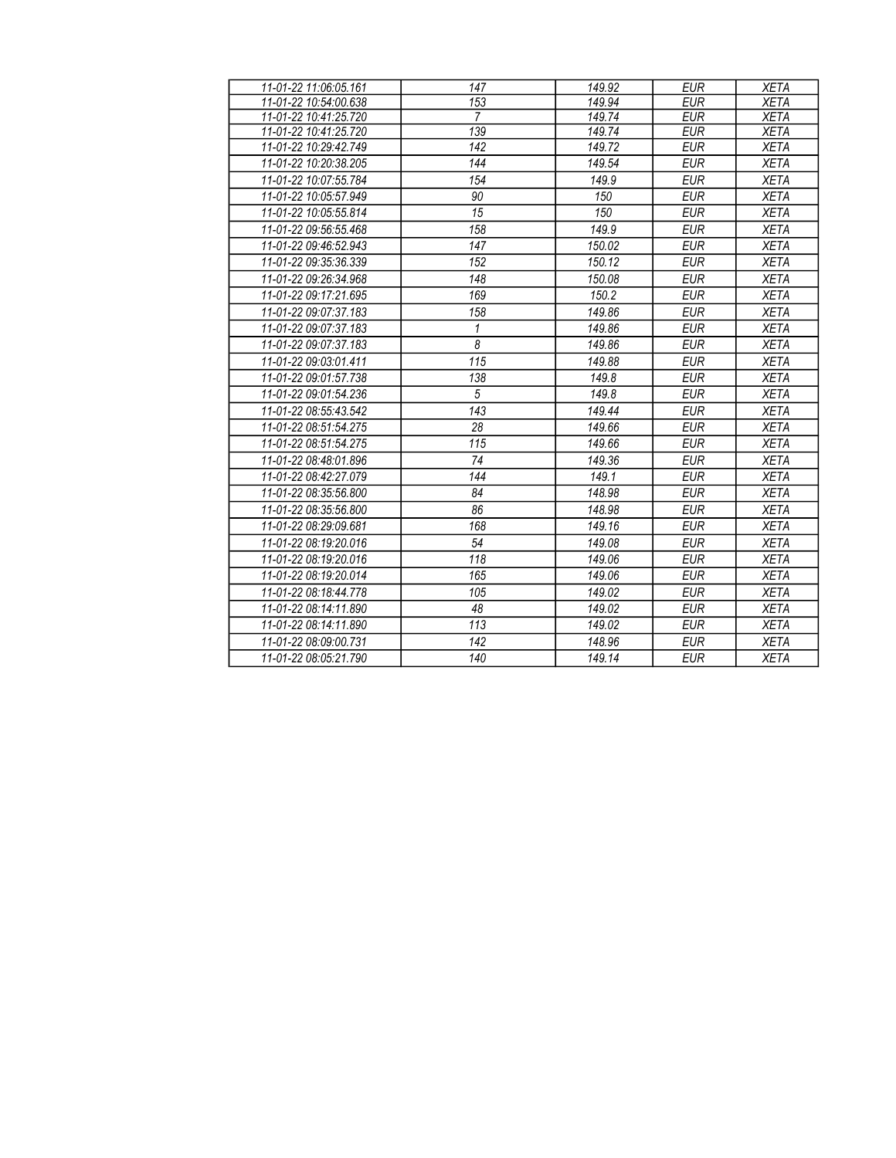| 11-01-22 11:06:05.161 | 147            | 149.92 | <b>EUR</b> | <b>XETA</b> |
|-----------------------|----------------|--------|------------|-------------|
| 11-01-22 10:54:00.638 | 153            | 149.94 | <b>EUR</b> | <b>XETA</b> |
| 11-01-22 10:41:25.720 | 7              | 149.74 | <b>EUR</b> | <b>XETA</b> |
| 11-01-22 10:41:25.720 | 139            | 149.74 | <b>EUR</b> | <b>XETA</b> |
| 11-01-22 10:29:42.749 | 142            | 149.72 | <b>EUR</b> | <b>XETA</b> |
| 11-01-22 10:20:38.205 | 144            | 149.54 | <b>EUR</b> | <b>XETA</b> |
| 11-01-22 10:07:55.784 | 154            | 149.9  | <b>EUR</b> | <b>XETA</b> |
| 11-01-22 10:05:57.949 | 90             | 150    | <b>EUR</b> | <b>XETA</b> |
| 11-01-22 10:05:55.814 | 15             | 150    | <b>EUR</b> | <b>XETA</b> |
| 11-01-22 09:56:55.468 | 158            | 149.9  | <b>EUR</b> | <b>XETA</b> |
| 11-01-22 09:46:52.943 | 147            | 150.02 | <b>EUR</b> | <b>XETA</b> |
| 11-01-22 09:35:36.339 | 152            | 150.12 | <b>EUR</b> | <b>XETA</b> |
| 11-01-22 09:26:34.968 | 148            | 150.08 | <b>EUR</b> | <b>XETA</b> |
| 11-01-22 09:17:21.695 | 169            | 150.2  | <b>EUR</b> | <b>XETA</b> |
| 11-01-22 09:07:37.183 | 158            | 149.86 | <b>EUR</b> | <b>XETA</b> |
| 11-01-22 09:07:37.183 | 1              | 149.86 | <b>EUR</b> | <b>XETA</b> |
| 11-01-22 09:07:37.183 | $\overline{8}$ | 149.86 | <b>EUR</b> | <b>XETA</b> |
| 11-01-22 09:03:01.411 | 115            | 149.88 | <b>EUR</b> | <b>XETA</b> |
| 11-01-22 09:01:57.738 | 138            | 149.8  | <b>EUR</b> | <b>XETA</b> |
| 11-01-22 09:01:54.236 | $\overline{5}$ | 149.8  | <b>EUR</b> | <b>XETA</b> |
| 11-01-22 08:55:43.542 | 143            | 149.44 | <b>EUR</b> | <b>XETA</b> |
| 11-01-22 08:51:54.275 | 28             | 149.66 | <b>EUR</b> | <b>XETA</b> |
| 11-01-22 08:51:54.275 | 115            | 149.66 | <b>EUR</b> | <b>XETA</b> |
| 11-01-22 08:48:01.896 | 74             | 149.36 | <b>EUR</b> | <b>XETA</b> |
| 11-01-22 08:42:27.079 | 144            | 149.1  | <b>EUR</b> | <b>XETA</b> |
| 11-01-22 08:35:56.800 | 84             | 148.98 | <b>EUR</b> | <b>XETA</b> |
| 11-01-22 08:35:56.800 | 86             | 148.98 | <b>EUR</b> | <b>XETA</b> |
| 11-01-22 08:29:09.681 | 168            | 149.16 | <b>EUR</b> | <b>XETA</b> |
| 11-01-22 08:19:20.016 | 54             | 149.08 | <b>EUR</b> | <b>XETA</b> |
| 11-01-22 08:19:20.016 | 118            | 149.06 | <b>EUR</b> | <b>XETA</b> |
| 11-01-22 08:19:20.014 | 165            | 149.06 | <b>EUR</b> | <b>XETA</b> |
| 11-01-22 08:18:44.778 | 105            | 149.02 | <b>EUR</b> | <b>XETA</b> |
| 11-01-22 08:14:11.890 | 48             | 149.02 | <b>EUR</b> | <b>XETA</b> |
| 11-01-22 08:14:11.890 | 113            | 149.02 | <b>EUR</b> | <b>XETA</b> |
| 11-01-22 08:09:00.731 | 142            | 148.96 | <b>EUR</b> | <b>XETA</b> |
| 11-01-22 08:05:21.790 | 140            | 149.14 | <b>EUR</b> | <b>XETA</b> |
|                       |                |        |            |             |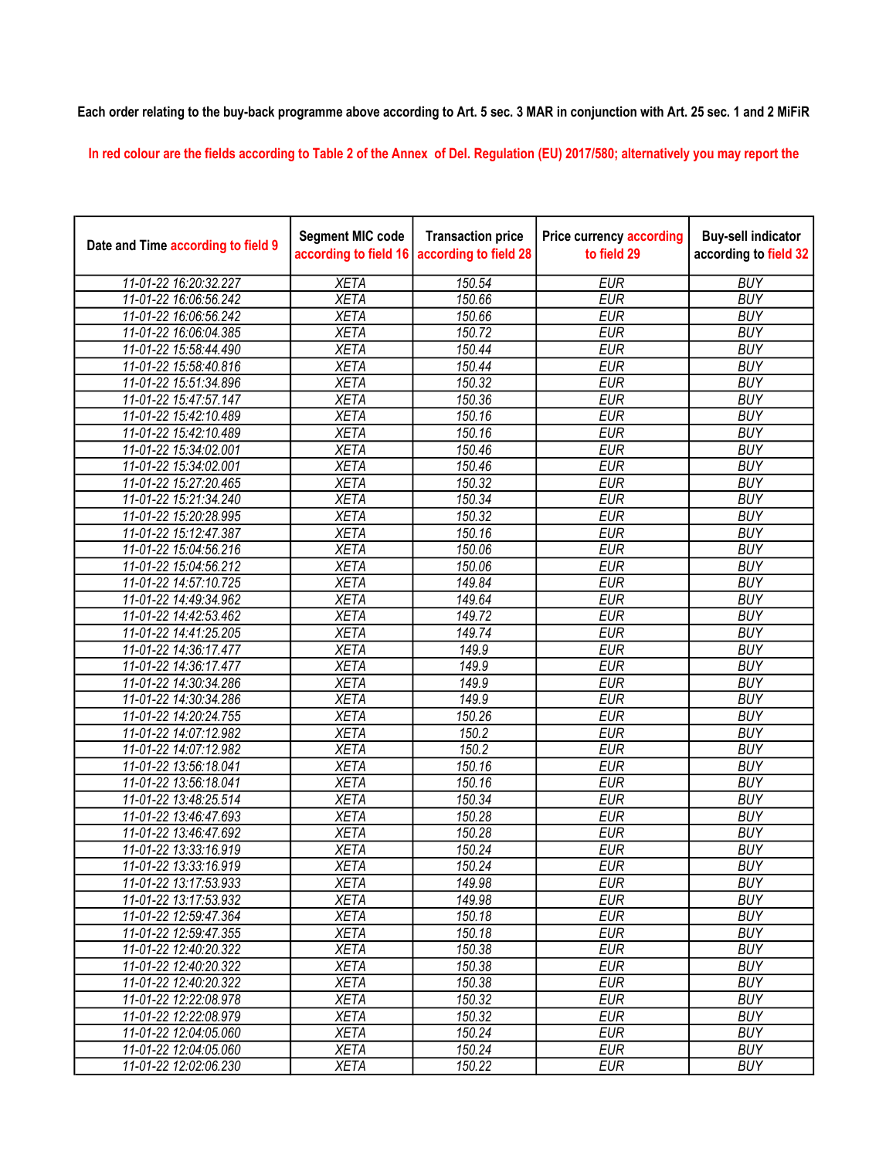## Each order relating to the buy-back programme above according to Art. 5 sec. 3 MAR in conjunction with Art. 25 sec. 1 and 2 MiFiR

In red colour are the fields according to Table 2 of the Annex of Del. Regulation (EU) 2017/580; alternatively you may report the

| Date and Time according to field 9 | <b>Segment MIC code</b><br>according to field 16 | <b>Transaction price</b><br>according to field 28 | <b>Price currency according</b><br>to field 29 | <b>Buy-sell indicator</b><br>according to field 32 |
|------------------------------------|--------------------------------------------------|---------------------------------------------------|------------------------------------------------|----------------------------------------------------|
| 11-01-22 16:20:32.227              | <b>XETA</b>                                      | 150.54                                            | <b>EUR</b>                                     | <b>BUY</b>                                         |
| 11-01-22 16:06:56.242              | <b>XETA</b>                                      | 150.66                                            | <b>EUR</b>                                     | <b>BUY</b>                                         |
| 11-01-22 16:06:56.242              | <b>XETA</b>                                      | 150.66                                            | <b>EUR</b>                                     | <b>BUY</b>                                         |
| 11-01-22 16:06:04.385              | <b>XETA</b>                                      | 150.72                                            | <b>EUR</b>                                     | <b>BUY</b>                                         |
| 11-01-22 15:58:44.490              | <b>XETA</b>                                      | 150.44                                            | <b>EUR</b>                                     | <b>BUY</b>                                         |
| 11-01-22 15:58:40.816              | <b>XETA</b>                                      | 150.44                                            | <b>EUR</b>                                     | <b>BUY</b>                                         |
| 11-01-22 15:51:34.896              | <b>XETA</b>                                      | 150.32                                            | <b>EUR</b>                                     | <b>BUY</b>                                         |
| 11-01-22 15:47:57.147              | <b>XETA</b>                                      | 150.36                                            | <b>EUR</b>                                     | <b>BUY</b>                                         |
| 11-01-22 15:42:10.489              | <b>XETA</b>                                      | 150.16                                            | <b>EUR</b>                                     | <b>BUY</b>                                         |
| 11-01-22 15:42:10.489              | <b>XETA</b>                                      | 150.16                                            | <b>EUR</b>                                     | <b>BUY</b>                                         |
| 11-01-22 15:34:02.001              | <b>XETA</b>                                      | 150.46                                            | <b>EUR</b>                                     | <b>BUY</b>                                         |
| 11-01-22 15:34:02.001              | <b>XETA</b>                                      | 150.46                                            | <b>EUR</b>                                     | <b>BUY</b>                                         |
| 11-01-22 15:27:20.465              | <b>XETA</b>                                      | 150.32                                            | <b>EUR</b>                                     | <b>BUY</b>                                         |
| 11-01-22 15:21:34.240              | <b>XETA</b>                                      | 150.34                                            | <b>EUR</b>                                     | <b>BUY</b>                                         |
| 11-01-22 15:20:28.995              | <b>XETA</b>                                      | 150.32                                            | <b>EUR</b>                                     | <b>BUY</b>                                         |
| 11-01-22 15:12:47.387              | <b>XETA</b>                                      | 150.16                                            | <b>EUR</b>                                     | <b>BUY</b>                                         |
| 11-01-22 15:04:56.216              | <b>XETA</b>                                      | 150.06                                            | <b>EUR</b>                                     | <b>BUY</b>                                         |
| 11-01-22 15:04:56.212              | <b>XETA</b>                                      | 150.06                                            | <b>EUR</b>                                     | <b>BUY</b>                                         |
| 11-01-22 14:57:10.725              | <b>XETA</b>                                      | 149.84                                            | <b>EUR</b>                                     | <b>BUY</b>                                         |
| 11-01-22 14:49:34.962              | <b>XETA</b>                                      | 149.64                                            | <b>EUR</b>                                     | <b>BUY</b>                                         |
| 11-01-22 14:42:53.462              | <b>XETA</b>                                      | 149.72                                            | <b>EUR</b>                                     | <b>BUY</b>                                         |
| 11-01-22 14:41:25.205              | <b>XETA</b>                                      | 149.74                                            | <b>EUR</b>                                     | <b>BUY</b>                                         |
| 11-01-22 14:36:17.477              | <b>XETA</b>                                      | 149.9                                             | <b>EUR</b>                                     | <b>BUY</b>                                         |
| 11-01-22 14:36:17.477              | <b>XETA</b>                                      | 149.9                                             | <b>EUR</b>                                     | <b>BUY</b>                                         |
| 11-01-22 14:30:34.286              | <b>XETA</b>                                      | 149.9                                             | <b>EUR</b>                                     | <b>BUY</b>                                         |
| 11-01-22 14:30:34.286              | <b>XETA</b>                                      | 149.9                                             | <b>EUR</b>                                     | <b>BUY</b>                                         |
| 11-01-22 14:20:24.755              | <b>XETA</b>                                      | 150.26                                            | <b>EUR</b>                                     | <b>BUY</b>                                         |
| 11-01-22 14:07:12.982              | <b>XETA</b>                                      | 150.2                                             | <b>EUR</b>                                     | <b>BUY</b>                                         |
| 11-01-22 14:07:12.982              | <b>XETA</b>                                      | $\frac{150.2}{ }$                                 | <b>EUR</b>                                     | <b>BUY</b>                                         |
| 11-01-22 13:56:18.041              | <b>XETA</b>                                      | 150.16                                            | <b>EUR</b>                                     | <b>BUY</b>                                         |
| 11-01-22 13:56:18.041              | <b>XETA</b>                                      | 150.16                                            | <b>EUR</b>                                     | <b>BUY</b>                                         |
| 11-01-22 13:48:25.514              | <b>XETA</b>                                      | 150.34                                            | <b>EUR</b>                                     | <b>BUY</b>                                         |
| 11-01-22 13:46:47.693              | <b>XETA</b>                                      | 150.28                                            | <b>EUR</b>                                     | <b>BUY</b>                                         |
| 11-01-22 13:46:47.692              | <b>XETA</b>                                      | 150.28                                            | <b>EUR</b>                                     | <b>BUY</b>                                         |
| 11-01-22 13:33:16.919              | <b>XETA</b>                                      | 150.24                                            | <b>EUR</b>                                     | <b>BUY</b>                                         |
| 11-01-22 13:33:16.919              | <b>XETA</b>                                      | 150.24                                            | <b>EUR</b>                                     | <b>BUY</b>                                         |
| 11-01-22 13:17:53.933              | <b>XETA</b>                                      | 149.98                                            | <b>EUR</b>                                     | <b>BUY</b>                                         |
| 11-01-22 13:17:53.932              | <b>XETA</b>                                      | 149.98                                            | <b>EUR</b>                                     | <b>BUY</b>                                         |
| 11-01-22 12:59:47.364              | <b>XETA</b>                                      | 150.18                                            | <b>EUR</b>                                     | <b>BUY</b>                                         |
| 11-01-22 12:59:47.355              | <b>XETA</b>                                      | 150.18                                            | <b>EUR</b>                                     | <b>BUY</b>                                         |
| 11-01-22 12:40:20.322              | <b>XETA</b>                                      | 150.38                                            | <b>EUR</b>                                     | <b>BUY</b>                                         |
| 11-01-22 12:40:20.322              | <b>XETA</b>                                      | 150.38                                            | <b>EUR</b>                                     | <b>BUY</b>                                         |
| 11-01-22 12:40:20.322              | <b>XETA</b>                                      | 150.38                                            | <b>EUR</b>                                     | <b>BUY</b>                                         |
| 11-01-22 12:22:08.978              | <b>XETA</b>                                      | 150.32                                            | <b>EUR</b>                                     | <b>BUY</b>                                         |
| 11-01-22 12:22:08.979              | <b>XETA</b>                                      | 150.32                                            | <b>EUR</b>                                     | <b>BUY</b>                                         |
| 11-01-22 12:04:05.060              | <b>XETA</b>                                      | 150.24                                            | <b>EUR</b>                                     | <b>BUY</b>                                         |
| 11-01-22 12:04:05.060              | <b>XETA</b>                                      | 150.24                                            | <b>EUR</b>                                     | <b>BUY</b>                                         |
| 11-01-22 12:02:06.230              | <b>XETA</b>                                      | 150.22                                            | <b>EUR</b>                                     | <b>BUY</b>                                         |